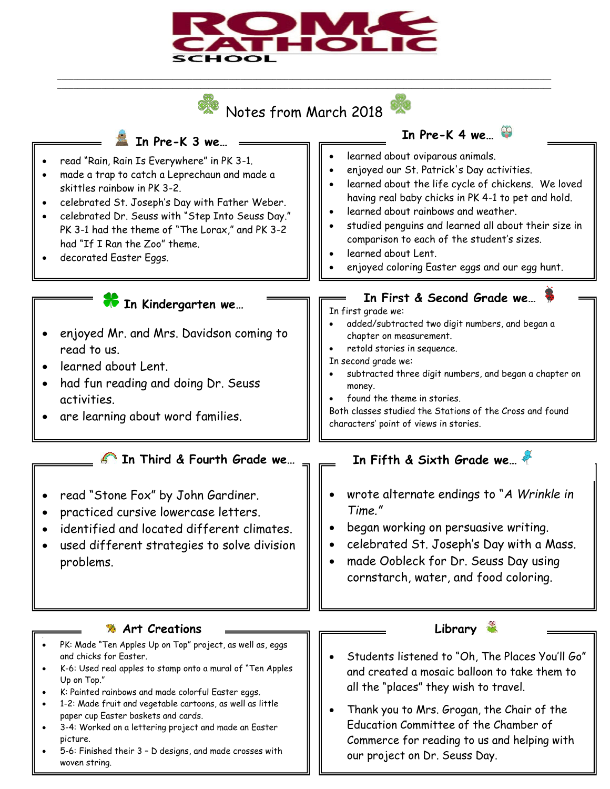

Notes from March 2018

\_\_\_\_\_\_\_\_\_\_\_\_\_\_\_\_\_\_\_\_\_\_\_\_\_\_\_\_\_\_\_\_\_\_\_\_\_\_\_\_\_\_\_\_\_\_\_\_\_\_\_\_\_\_\_\_\_\_\_\_\_\_\_\_\_\_\_\_\_\_\_\_\_\_\_\_\_\_\_\_\_\_\_\_\_\_\_\_\_\_\_\_\_\_\_\_\_\_\_\_\_\_\_\_\_\_\_\_\_\_\_\_\_\_\_\_\_\_\_\_\_\_\_\_ \_\_\_\_\_\_\_\_\_\_\_\_\_\_\_\_\_\_\_\_\_\_\_\_\_\_\_\_\_\_\_\_\_\_\_\_\_\_\_\_\_\_\_\_\_\_\_\_\_\_\_\_\_\_\_\_\_\_\_\_\_\_\_\_\_\_\_\_\_\_\_\_\_\_\_\_\_\_\_\_\_\_\_\_\_\_\_\_\_\_\_\_\_\_\_\_\_\_\_\_\_\_\_\_\_\_\_\_\_\_\_\_\_\_\_\_\_\_\_\_\_\_\_\_



our project on Dr. Seuss Day.

5-6: Finished their 3 – D designs, and made crosses with woven string.